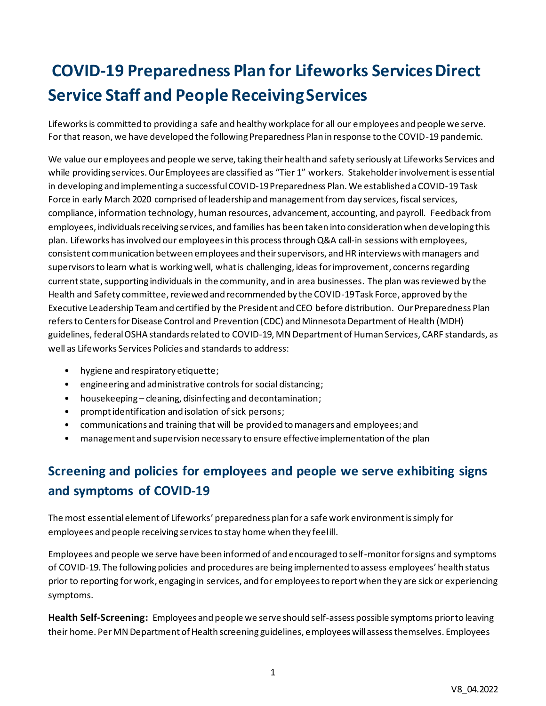# **COVID-19 Preparedness Plan for Lifeworks ServicesDirect Service Staff and People Receiving Services**

Lifeworks is committed to providing a safe and healthy workplace for all our employees and people we serve. For that reason, we have developed the following Preparedness Plan in response to the COVID-19 pandemic.

We value our employees and people we serve, taking their health and safety seriously at Lifeworks Services and while providing services. Our Employees are classified as "Tier 1" workers. Stakeholder involvement is essential in developing and implementing a successful COVID-19 Preparedness Plan. We established a COVID-19 Task Force in early March 2020 comprised of leadership and management from day services, fiscal services, compliance, information technology, human resources, advancement, accounting, and payroll. Feedback from employees, individuals receiving services, and families has been taken into consideration when developing this plan. Lifeworks has involved our employees in this process through Q&A call-in sessions with employees, consistent communication between employees and their supervisors, and HR interviews with managers and supervisors to learn what is working well, what is challenging, ideas for improvement, concerns regarding current state, supporting individuals in the community, and in area businesses. The plan was reviewed by the Health and Safety committee, reviewed and recommended by the COVID-19 Task Force, approved by the Executive Leadership Team and certified by the President and CEO before distribution. Our Preparedness Plan refers to Centers for Disease Control and Prevention (CDC) and Minnesota Department of Health (MDH) guidelines, federal OSHA standards related to COVID-19, MN Department of Human Services, CARF standards, as well as Lifeworks Services Policies and standards to address:

- hygiene and respiratory etiquette;
- engineering and administrative controls for social distancing;
- housekeeping cleaning, disinfecting and decontamination;
- prompt identification and isolation of sick persons;
- communications and training that will be provided to managers and employees; and
- management and supervision necessary to ensure effective implementation of the plan

## **Screening and policies for employees and people we serve exhibiting signs and symptoms of COVID-19**

The most essential element of Lifeworks' preparedness plan for a safe work environment is simply for employees and people receiving services to stay home when they feel ill.

Employees and people we serve have been informed of and encouraged to self-monitor for signs and symptoms of COVID-19. The following policies and procedures are being implemented to assess employees' health status prior to reporting for work, engaging in services, and for employees to report when they are sick or experiencing symptoms.

**Health Self-Screening:** Employees and people we serve should self-assess possible symptoms prior to leaving their home. PerMN Departmentof Health screening guidelines, employees will assess themselves. Employees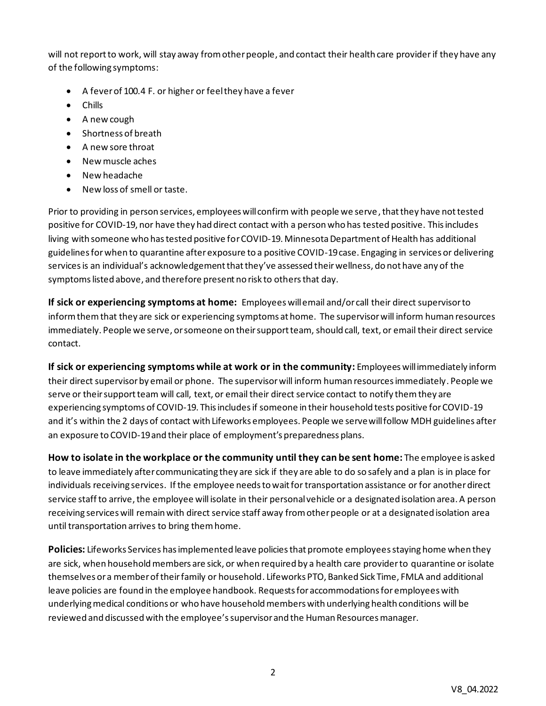will not report to work, will stay away from other people, and contact their health care providerif they have any of the following symptoms:

- A fever of 100.4 F. or higher or feel they have a fever
- Chills
- A new cough
- Shortness of breath
- A new sore throat
- New muscle aches
- New headache
- New loss of smell or taste.

Prior to providing in person services, employees will confirm with people we serve, that they have not tested positive for COVID-19, nor have they had direct contact with a person who has tested positive. This includes living with someone who has tested positive for COVID-19. Minnesota Department of Health has additional guidelines for when to quarantine after exposure to a positive COVID-19 case. Engaging in services or delivering servicesis an individual's acknowledgement that they've assessed their wellness, do not have any of the symptoms listed above, and therefore present no risk to othersthat day.

**If sick or experiencing symptoms at home:** Employees will email and/or call their direct supervisor to inform them that they are sick or experiencing symptoms at home. The supervisor will inform human resources immediately. People we serve, or someone on their support team, should call, text, or email their direct service contact.

**If sick or experiencing symptoms while at work or in the community:** Employees will immediately inform their direct supervisor by email or phone. The supervisor will inform human resources immediately. People we serve or their support team will call, text, or email their direct service contact to notify them they are experiencing symptoms of COVID-19. This includes if someone in their household tests positive for COVID-19 and it's within the 2 days of contact with Lifeworks employees. People we serve will follow MDH guidelines after an exposure to COVID-19 and their place of employment's preparedness plans.

**How to isolate in the workplace or the community until they can be sent home:** The employee is asked to leave immediately after communicating they are sick if they are able to do so safely and a plan is in place for individuals receiving services. If the employee needs to wait for transportation assistance or for another direct service staff to arrive, the employee will isolate in their personal vehicle or a designated isolation area. A person receiving services will remain with direct service staff away from other people or at a designated isolation area until transportation arrives to bring them home.

**Policies:** Lifeworks Services has implemented leave policies that promote employees staying home when they are sick, when household members are sick, or when required by a health care provider to quarantine or isolate themselves or a member of their family or household. Lifeworks PTO, Banked Sick Time, FMLA and additional leave policies are found in the employee handbook. Requests for accommodations for employees with underlying medical conditions or who have household members with underlying health conditions will be reviewed and discussed with the employee's supervisor and the Human Resources manager.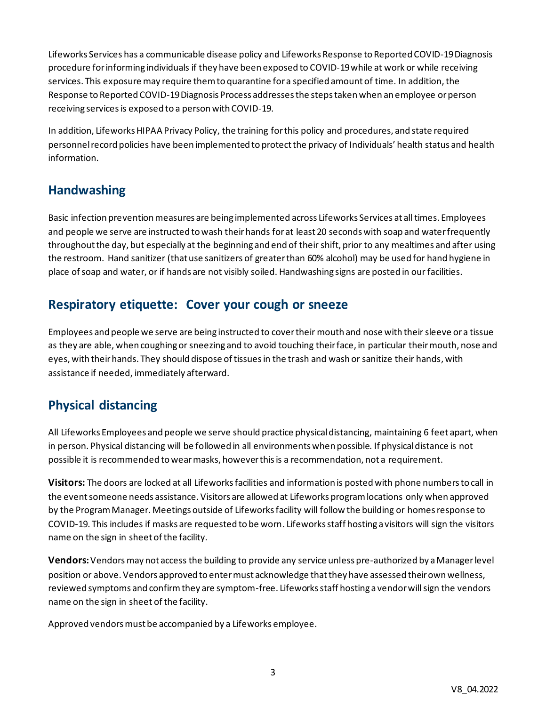Lifeworks Services has a communicable disease policy and Lifeworks Response to Reported COVID-19 Diagnosis procedure for informing individuals if they have been exposed to COVID-19 while at work or while receiving services. This exposure may require them to quarantine for a specified amount of time. In addition, the Response to Reported COVID-19 Diagnosis Process addresses the steps taken when an employee or person receiving services is exposed to a person with COVID-19.

In addition, Lifeworks HIPAA Privacy Policy, the training for this policy and procedures, and state required personnel record policies have been implemented to protect the privacy of Individuals' health status and health information.

### **Handwashing**

Basic infection prevention measures are being implemented across Lifeworks Services at all times. Employees and people we serve are instructed to wash their hands for at least 20 seconds with soap and water frequently throughout the day, but especially at the beginning and end of their shift, prior to any mealtimes and after using the restroom. Hand sanitizer (that use sanitizers of greater than 60% alcohol) may be used for hand hygiene in place of soap and water, or if hands are not visibly soiled. Handwashing signs are posted in our facilities.

### **Respiratory etiquette: Cover your cough or sneeze**

Employees and people we serve are being instructed to cover their mouth and nose with their sleeve or a tissue as they are able, when coughing or sneezing and to avoid touching their face, in particular their mouth, nose and eyes, with their hands. They should dispose of tissues in the trash and wash or sanitize their hands, with assistance if needed, immediately afterward.

### **Physical distancing**

All Lifeworks Employees and people we serve should practice physicaldistancing, maintaining 6 feet apart, when in person. Physical distancing will be followed in all environments when possible. If physical distance is not possible it is recommended to wear masks, however this is a recommendation, not a requirement.

**Visitors:** The doors are locked at all Lifeworks facilities and information is posted with phone numbers to call in the event someone needs assistance. Visitors are allowed at Lifeworks program locations only when approved by the Program Manager. Meetings outside of Lifeworks facility will follow the building or homes response to COVID-19. This includes if masks are requested to be worn. Lifeworks staff hosting a visitors will sign the visitors name on the sign in sheet of the facility.

**Vendors:**Vendors may not access the building to provide any service unless pre-authorized by a Managerlevel position or above. Vendors approved to enter must acknowledge that they have assessed their own wellness, reviewed symptoms and confirm they are symptom-free. Lifeworks staff hosting a vendor will sign the vendors name on the sign in sheet of the facility.

Approved vendors must be accompanied by a Lifeworks employee.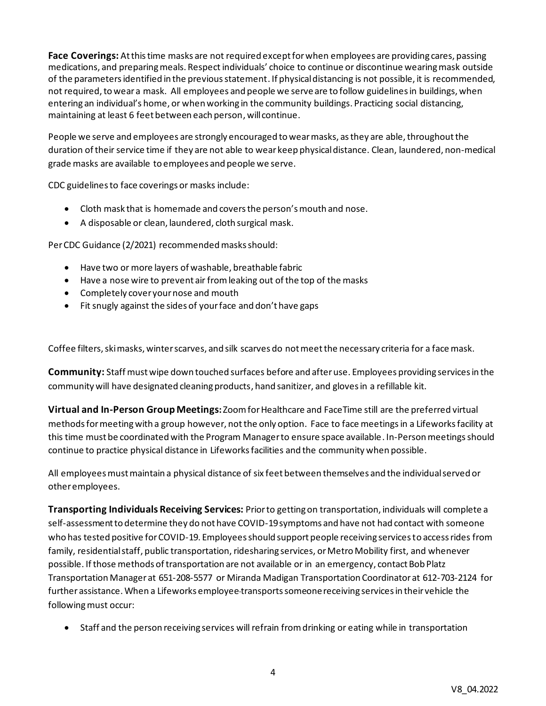**Face Coverings:** At this time masks are not required except for when employees are providing cares, passing medications, and preparing meals. Respect individuals' choice to continue or discontinue wearing mask outside of the parameters identified in the previous statement. If physical distancing is not possible, it is recommended, not required, to wear a mask. All employees and people we serve are to follow guidelines in buildings, when entering an individual's home, or when working in the community buildings. Practicing social distancing, maintaining at least 6 feet between each person, will continue.

People we serve and employees are strongly encouraged to wear masks, as they are able, throughout the duration of their service time if they are not able to wear keep physical distance. Clean, laundered, non-medical grade masks are available to employees and people we serve.

CDC guidelines to face coverings or masks include:

- Cloth mask that is homemade and covers the person's mouth and nose.
- A disposable or clean, laundered, cloth surgical mask.

Per CDC Guidance (2/2021) recommended masks should:

- Have two or more layers of washable, breathable fabric
- Have a nose wire to prevent air from leaking out of the top of the masks
- Completely cover your nose and mouth
- Fit snugly against the sides of your face and don't have gaps

Coffee filters, ski masks, winter scarves, and silk scarves do not meet the necessary criteria for a face mask.

**Community:** Staff must wipe down touched surfaces before and after use. Employees providing services in the community will have designated cleaning products, hand sanitizer, and gloves in a refillable kit.

**Virtual and In-Person Group Meetings:** Zoom for Healthcare and FaceTime still are the preferred virtual methods for meeting with a group however, not the only option. Face to face meetingsin a Lifeworks facility at this time must be coordinated with the Program Manager to ensure space available. In-Person meetings should continue to practice physical distance in Lifeworks facilities and the community when possible.

All employees must maintain a physical distance of six feet between themselves and the individual served or other employees.

**Transporting Individuals Receiving Services:** Prior to getting on transportation, individuals will complete a self-assessment to determine they do not have COVID-19 symptoms and have not had contact with someone who has tested positive for COVID-19. Employees should support people receiving services to access rides from family, residential staff, public transportation, ridesharing services, or Metro Mobility first, and whenever possible. Ifthose methods of transportation are not available or in an emergency, contact Bob Platz Transportation Manager at 651-208-5577 or Miranda Madigan Transportation Coordinator at 612-703-2124 for further assistance. When a Lifeworks employee transportssomeone receiving services in their vehicle the following must occur:

• Staff and the person receiving services will refrain from drinking or eating while in transportation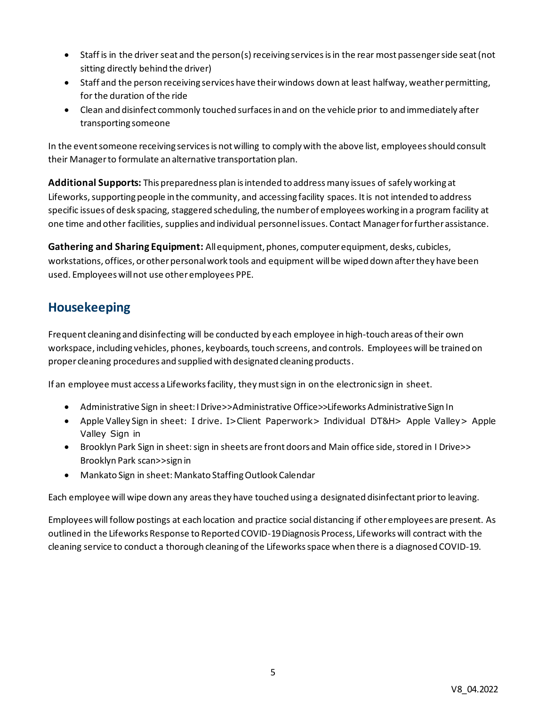- Staff is in the driver seat and the person(s) receiving services is in the rear most passenger side seat (not sitting directly behind the driver)
- Staff and the person receiving services have their windows down at least halfway, weather permitting, for the duration of the ride
- Clean and disinfect commonly touched surfaces in and on the vehicle prior to and immediately after transporting someone

In the event someone receiving services is not willing to comply with the above list, employees should consult their Manager to formulate an alternative transportation plan.

**Additional Supports:** This preparedness plan is intended to address many issues of safely working at Lifeworks, supporting people in the community, and accessing facility spaces. It is not intended to address specific issues of desk spacing, staggered scheduling, the number of employees working in a program facility at one time and other facilities, supplies and individual personnel issues. Contact Managerfor further assistance.

**Gathering and Sharing Equipment:** Allequipment, phones, computer equipment, desks, cubicles, workstations, offices, or other personal work tools and equipment will be wiped down after they have been used. Employees will not use other employees PPE.

### **Housekeeping**

Frequent cleaning and disinfecting will be conducted by each employee in high-touch areas of their own workspace, including vehicles, phones, keyboards, touch screens, and controls. Employees will be trained on proper cleaning procedures and supplied with designated cleaning products.

If an employee must access a Lifeworks facility, they must sign in on the electronic sign in sheet.

- Administrative Sign in sheet: I Drive>>Administrative Office>>Lifeworks Administrative Sign In
- Apple Valley Sign in sheet: I drive. I>Client Paperwork> Individual DT&H> Apple Valley> Apple Valley Sign in
- Brooklyn Park Sign in sheet: sign in sheets are front doors and Main office side, stored in I Drive>> Brooklyn Park scan>>sign in
- Mankato Sign in sheet: Mankato Staffing Outlook Calendar

Each employee will wipe down any areas they have touched using a designated disinfectant prior to leaving.

Employees will follow postings at each location and practice social distancing if other employees are present. As outlined in the Lifeworks Response to Reported COVID-19 Diagnosis Process, Lifeworks will contract with the cleaning service to conduct a thorough cleaning of the Lifeworks space when there is a diagnosed COVID-19.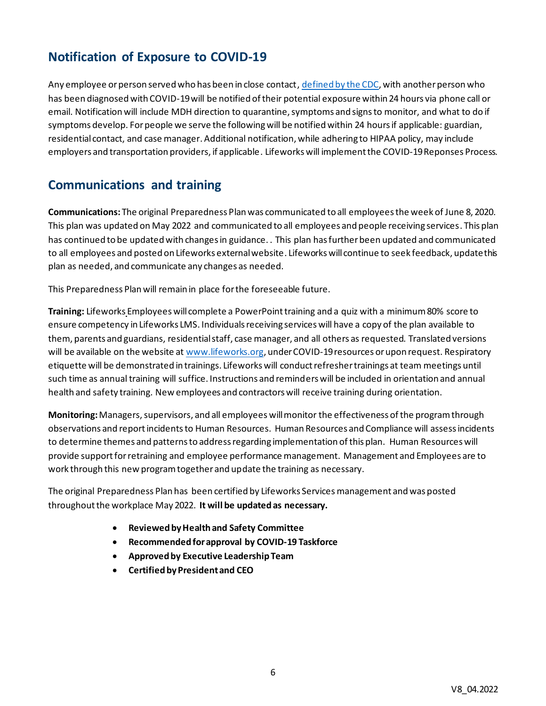### **Notification of Exposure to COVID-19**

Any employee or person served who has been in close contact[, defined by the CDC,](https://www.cdc.gov/coronavirus/2019-ncov/php/contact-tracing/contact-tracing-plan/appendix.html) with another person who has been diagnosed with COVID-19 will be notified of their potential exposure within 24 hours via phone call or email. Notification will include MDH direction to quarantine, symptoms and signs to monitor, and what to do if symptoms develop. For people we serve the following will be notified within 24 hours if applicable: guardian, residential contact, and case manager. Additional notification, while adhering to HIPAA policy, may include employers and transportation providers, if applicable. Lifeworks will implement the COVID-19 Reponses Process.

### **Communications and training**

**Communications:** The original Preparedness Plan was communicated to all employees the week of June 8, 2020. This plan was updated on May 2022 and communicated to all employees and people receiving services. This plan has continued to be updated with changes in guidance. . This plan has further been updated and communicated to all employees and posted on Lifeworks external website. Lifeworks will continue to seek feedback, update this plan as needed, and communicate any changes as needed.

This Preparedness Plan will remain in place for the foreseeable future.

**Training:** Lifeworks Employees will complete a PowerPoint training and a quiz with a minimum 80% score to ensure competency in Lifeworks LMS. Individuals receiving services will have a copy of the plan available to them, parents and guardians, residential staff, case manager, and all others as requested. Translated versions will be available on the website a[t www.lifeworks.org](http://www.lifeworks.org/), under COVID-19 resources or upon request. Respiratory etiquette will be demonstrated in trainings. Lifeworks will conduct refresher trainings at team meetings until such time as annual training will suffice. Instructions and reminders will be included in orientation and annual health and safety training. New employees and contractors will receive training during orientation.

**Monitoring:**Managers, supervisors, and all employees willmonitor the effectiveness of the program through observations and reportincidents to Human Resources. Human Resources and Compliance will assess incidents to determine themes and patterns to address regarding implementation of this plan. Human Resources will provide support for retraining and employee performance management.Management and Employees are to work through this new program together and update the training as necessary.

The original Preparedness Plan has been certified by Lifeworks Services management and was posted throughout the workplace May 2022. **It will be updated as necessary.**

- **Reviewed by Health and Safety Committee**
- **Recommended for approval by COVID-19 Taskforce**
- **Approved by Executive Leadership Team**
- **Certified by President and CEO**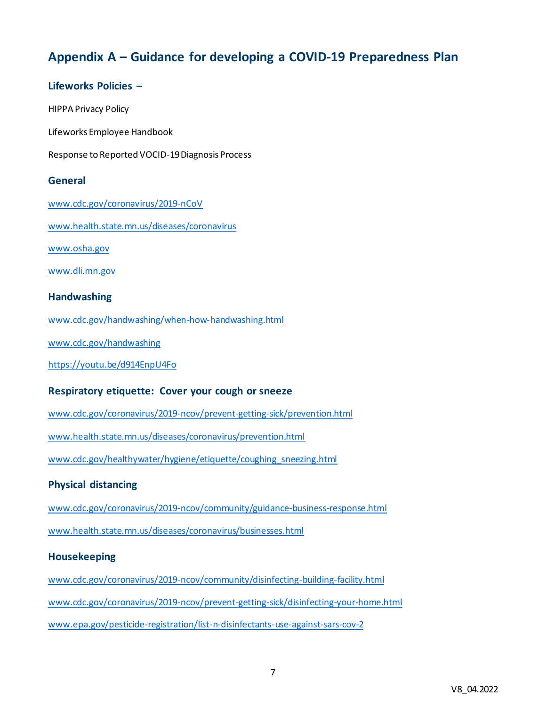### **Appendix A – Guidance for developing a COVID-19 Preparedness Plan**

#### **Lifeworks Policies –**

HIPPA Privacy Policy

Lifeworks Employee Handbook

Response to Reported VOCID-19 Diagnosis Process

#### **General**

[www.cdc.gov/coronavirus/2019-nCoV](http://www.cdc.gov/coronavirus/2019-nCoV)

[www.health.state.mn.us/diseases/coronavirus](https://www.health.state.mn.us/diseases/coronavirus/index.html)

[www.osha.gov](http://www.osha.gov/)

[www.dli.mn.gov](http://www.dli.mn.gov/)

#### **Handwashing**

[www.cdc.gov/handwashing/when-how-handwashing.html](http://www.cdc.gov/handwashing/when-how-handwashing.html)

[www.cdc.gov/handwashing](https://www.cdc.gov/handwashing/index.html)

<https://youtu.be/d914EnpU4Fo>

#### **Respiratory etiquette: Cover your cough or sneeze**

[www.cdc.gov/coronavirus/2019-ncov/prevent-getting-sick/prevention.html](http://www.cdc.gov/coronavirus/2019-ncov/prevent-getting-sick/prevention.html)

[www.health.state.mn.us/diseases/coronavirus/prevention.html](http://www.health.state.mn.us/diseases/coronavirus/prevention.html)

[www.cdc.gov/healthywater/hygiene/etiquette/coughing\\_sneezing.html](http://www.cdc.gov/healthywater/hygiene/etiquette/coughing_sneezing.html)

#### **Physical distancing**

[www.cdc.gov/coronavirus/2019-ncov/community/guidance-business-response.html](http://www.cdc.gov/coronavirus/2019-ncov/community/guidance-business-response.html)

[www.health.state.mn.us/diseases/coronavirus/businesses.html](http://www.health.state.mn.us/diseases/coronavirus/businesses.html)

#### **Housekeeping**

[www.cdc.gov/coronavirus/2019-ncov/community/disinfecting-building-facility.html](http://www.cdc.gov/coronavirus/2019-ncov/community/disinfecting-building-facility.html)

[www.cdc.gov/coronavirus/2019-ncov/prevent-getting-sick/disinfecting-your-home.html](https://www.cdc.gov/coronavirus/2019-ncov/prevent-getting-sick/disinfecting-your-home.html)

[www.epa.gov/pesticide-registration/list-n-disinfectants-use-against-sars-cov-2](https://www.epa.gov/pesticide-registration/list-n-disinfectants-use-against-sars-cov-2)